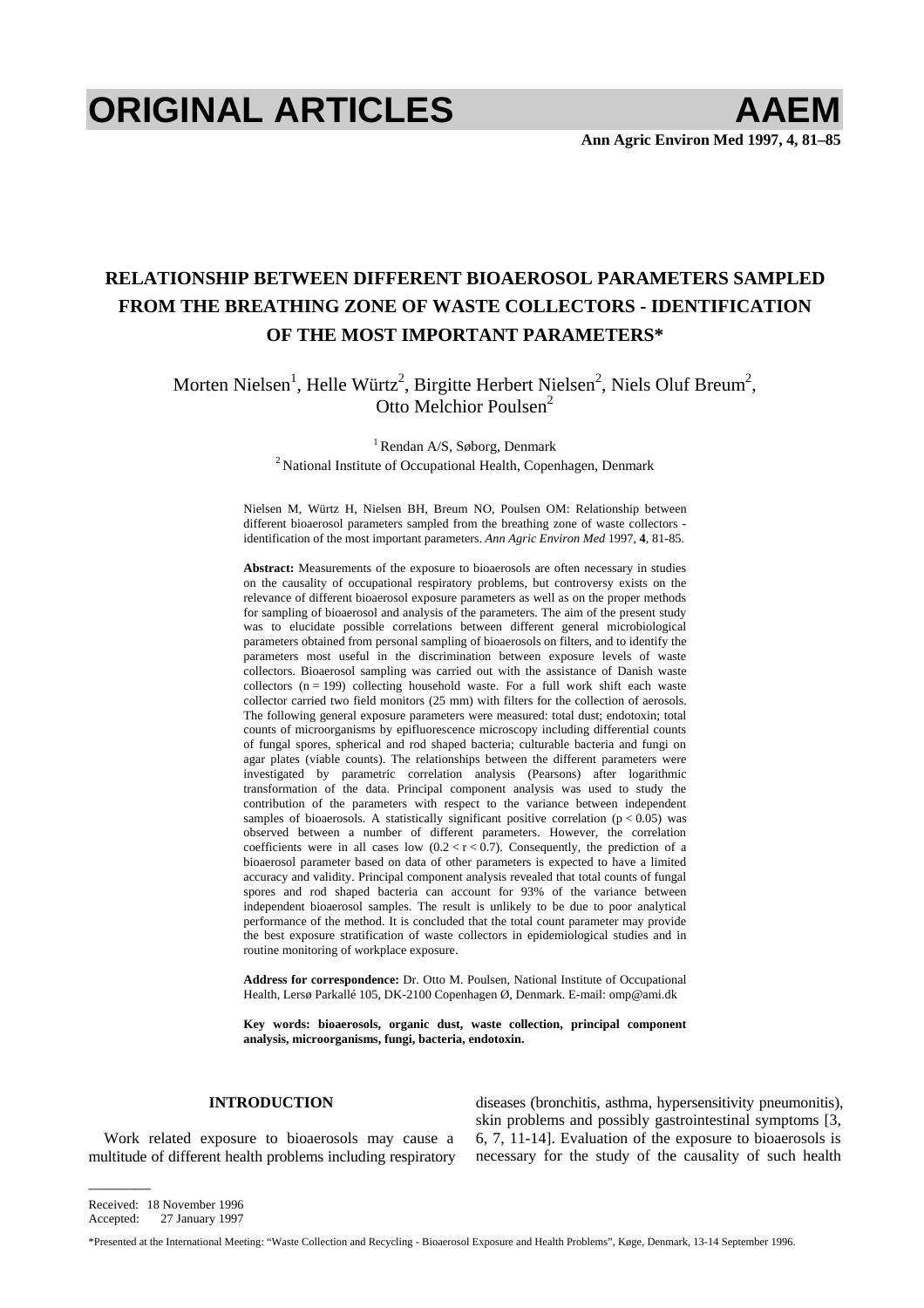# **ORIGINAL ARTICLES AAEM**

# **RELATIONSHIP BETWEEN DIFFERENT BIOAEROSOL PARAMETERS SAMPLED FROM THE BREATHING ZONE OF WASTE COLLECTORS - IDENTIFICATION OF THE MOST IMPORTANT PARAMETERS\***

Morten Nielsen<sup>1</sup>, Helle Würtz<sup>2</sup>, Birgitte Herbert Nielsen<sup>2</sup>, Niels Oluf Breum<sup>2</sup>, Otto Melchior Poulsen<sup>2</sup>

<sup>1</sup> Rendan A/S, Søborg, Denmark <sup>2</sup> National Institute of Occupational Health, Copenhagen, Denmark

Nielsen M, Würtz H, Nielsen BH, Breum NO, Poulsen OM: Relationship between different bioaerosol parameters sampled from the breathing zone of waste collectors identification of the most important parameters. *Ann Agric Environ Med* 1997, **4**, 81-85.

**Abstract:** Measurements of the exposure to bioaerosols are often necessary in studies on the causality of occupational respiratory problems, but controversy exists on the relevance of different bioaerosol exposure parameters as well as on the proper methods for sampling of bioaerosol and analysis of the parameters. The aim of the present study was to elucidate possible correlations between different general microbiological parameters obtained from personal sampling of bioaerosols on filters, and to identify the parameters most useful in the discrimination between exposure levels of waste collectors. Bioaerosol sampling was carried out with the assistance of Danish waste collectors  $(n = 199)$  collecting household waste. For a full work shift each waste collector carried two field monitors (25 mm) with filters for the collection of aerosols. The following general exposure parameters were measured: total dust; endotoxin; total counts of microorganisms by epifluorescence microscopy including differential counts of fungal spores, spherical and rod shaped bacteria; culturable bacteria and fungi on agar plates (viable counts). The relationships between the different parameters were investigated by parametric correlation analysis (Pearsons) after logarithmic transformation of the data. Principal component analysis was used to study the contribution of the parameters with respect to the variance between independent samples of bioaerosols. A statistically significant positive correlation ( $p < 0.05$ ) was observed between a number of different parameters. However, the correlation coefficients were in all cases low  $(0.2 < r < 0.7)$ . Consequently, the prediction of a bioaerosol parameter based on data of other parameters is expected to have a limited accuracy and validity. Principal component analysis revealed that total counts of fungal spores and rod shaped bacteria can account for 93% of the variance between independent bioaerosol samples. The result is unlikely to be due to poor analytical performance of the method. It is concluded that the total count parameter may provide the best exposure stratification of waste collectors in epidemiological studies and in routine monitoring of workplace exposure.

**Address for correspondence:** Dr. Otto M. Poulsen, National Institute of Occupational Health, Lersø Parkallé 105, DK-2100 Copenhagen Ø, Denmark. E-mail: [omp@ami.dk](mailto:omp@ami.dk) 

**Key words: bioaerosols, organic dust, waste collection, principal component analysis, microorganisms, fungi, bacteria, endotoxin.** 

## **INTRODUCTION**

Work related exposure to bioaerosols may cause a multitude of different health problems including respiratory diseases (bronchitis, asthma, hypersensitivity pneumonitis), skin problems and possibly gastrointestinal symptoms [3, 6, 7, 11-14]. Evaluation of the exposure to bioaerosols is necessary for the study of the causality of such health

Received: 18 November 1996 Accepted: 27 January 1997

————

\*Presented at the International Meeting: "Waste Collection and Recycling - Bioaerosol Exposure and Health Problems", Køge, Denmark, 13-14 September 1996.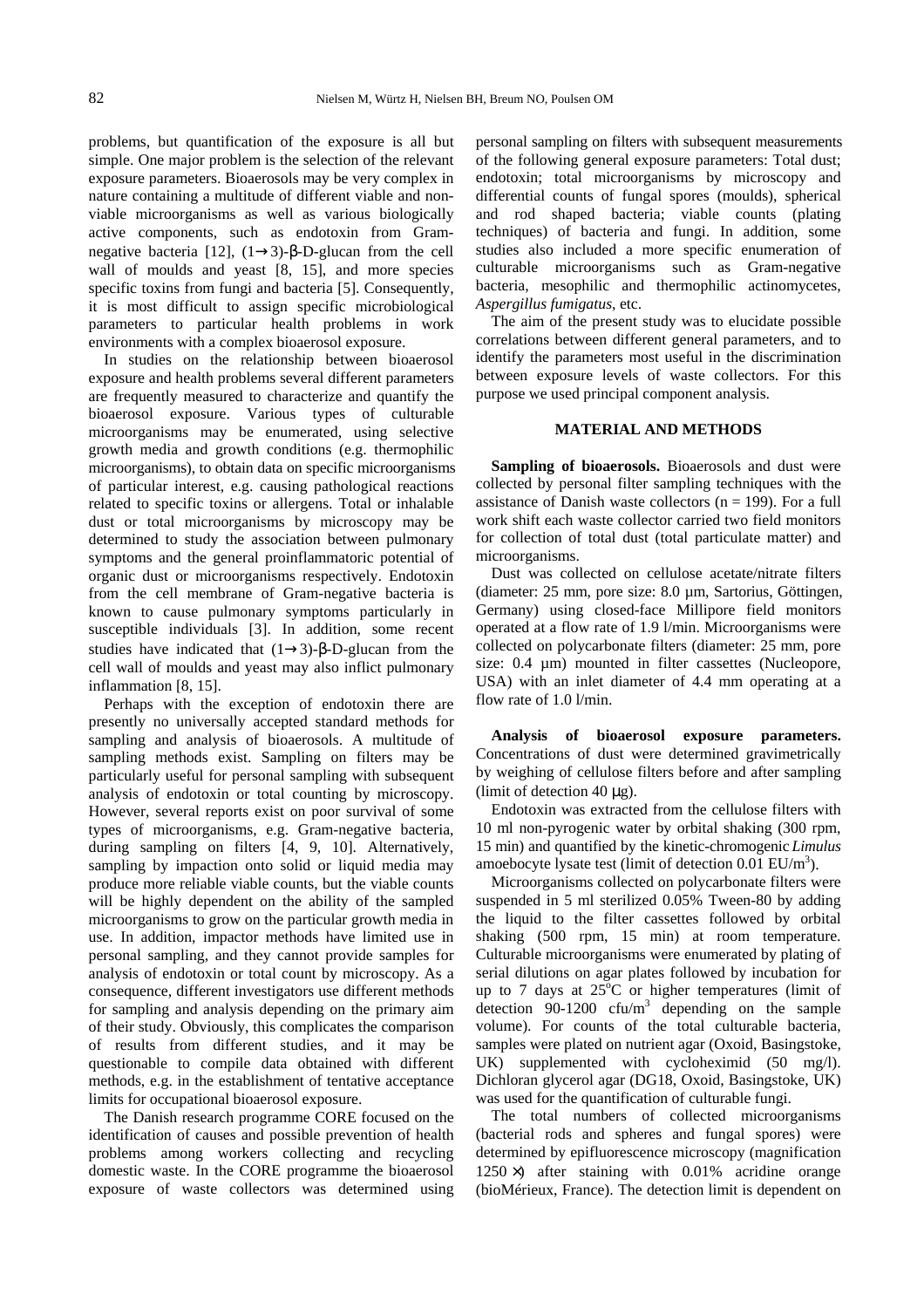problems, but quantification of the exposure is all but simple. One major problem is the selection of the relevant exposure parameters. Bioaerosols may be very complex in nature containing a multitude of different viable and nonviable microorganisms as well as various biologically active components, such as endotoxin from Gramnegative bacteria [12],  $(1\rightarrow 3)$ -β-D-glucan from the cell wall of moulds and yeast [8, 15], and more species specific toxins from fungi and bacteria [5]. Consequently, it is most difficult to assign specific microbiological parameters to particular health problems in work environments with a complex bioaerosol exposure.

In studies on the relationship between bioaerosol exposure and health problems several different parameters are frequently measured to characterize and quantify the bioaerosol exposure. Various types of culturable microorganisms may be enumerated, using selective growth media and growth conditions (e.g. thermophilic microorganisms), to obtain data on specific microorganisms of particular interest, e.g. causing pathological reactions related to specific toxins or allergens. Total or inhalable dust or total microorganisms by microscopy may be determined to study the association between pulmonary symptoms and the general proinflammatoric potential of organic dust or microorganisms respectively. Endotoxin from the cell membrane of Gram-negative bacteria is known to cause pulmonary symptoms particularly in susceptible individuals [3]. In addition, some recent studies have indicated that  $(1\rightarrow3)$ -β-D-glucan from the cell wall of moulds and yeast may also inflict pulmonary inflammation [8, 15].

Perhaps with the exception of endotoxin there are presently no universally accepted standard methods for sampling and analysis of bioaerosols. A multitude of sampling methods exist. Sampling on filters may be particularly useful for personal sampling with subsequent analysis of endotoxin or total counting by microscopy. However, several reports exist on poor survival of some types of microorganisms, e.g. Gram-negative bacteria, during sampling on filters [4, 9, 10]. Alternatively, sampling by impaction onto solid or liquid media may produce more reliable viable counts, but the viable counts will be highly dependent on the ability of the sampled microorganisms to grow on the particular growth media in use. In addition, impactor methods have limited use in personal sampling, and they cannot provide samples for analysis of endotoxin or total count by microscopy. As a consequence, different investigators use different methods for sampling and analysis depending on the primary aim of their study. Obviously, this complicates the comparison of results from different studies, and it may be questionable to compile data obtained with different methods, e.g. in the establishment of tentative acceptance limits for occupational bioaerosol exposure.

The Danish research programme CORE focused on the identification of causes and possible prevention of health problems among workers collecting and recycling domestic waste. In the CORE programme the bioaerosol exposure of waste collectors was determined using personal sampling on filters with subsequent measurements of the following general exposure parameters: Total dust; endotoxin; total microorganisms by microscopy and differential counts of fungal spores (moulds), spherical and rod shaped bacteria; viable counts (plating techniques) of bacteria and fungi. In addition, some studies also included a more specific enumeration of culturable microorganisms such as Gram-negative bacteria, mesophilic and thermophilic actinomycetes, *Aspergillus fumigatus*, etc.

The aim of the present study was to elucidate possible correlations between different general parameters, and to identify the parameters most useful in the discrimination between exposure levels of waste collectors. For this purpose we used principal component analysis.

#### **MATERIAL AND METHODS**

**Sampling of bioaerosols.** Bioaerosols and dust were collected by personal filter sampling techniques with the assistance of Danish waste collectors ( $n = 199$ ). For a full work shift each waste collector carried two field monitors for collection of total dust (total particulate matter) and microorganisms.

Dust was collected on cellulose acetate/nitrate filters (diameter: 25 mm, pore size: 8.0 µm, Sartorius, Göttingen, Germany) using closed-face Millipore field monitors operated at a flow rate of 1.9 l/min. Microorganisms were collected on polycarbonate filters (diameter: 25 mm, pore size: 0.4  $\mu$ m) mounted in filter cassettes (Nucleopore, USA) with an inlet diameter of 4.4 mm operating at a flow rate of 1.0 l/min.

**Analysis of bioaerosol exposure parameters.**  Concentrations of dust were determined gravimetrically by weighing of cellulose filters before and after sampling (limit of detection 40  $\mu$ g).

Endotoxin was extracted from the cellulose filters with 10 ml non-pyrogenic water by orbital shaking (300 rpm, 15 min) and quantified by the kinetic-chromogenic *Limulus* amoebocyte lysate test (limit of detection  $0.01$  EU/m<sup>3</sup>).

Microorganisms collected on polycarbonate filters were suspended in 5 ml sterilized 0.05% Tween-80 by adding the liquid to the filter cassettes followed by orbital shaking (500 rpm, 15 min) at room temperature. Culturable microorganisms were enumerated by plating of serial dilutions on agar plates followed by incubation for up to 7 days at  $25^{\circ}$ C or higher temperatures (limit of detection  $90-1200$  cfu/m<sup>3</sup> depending on the sample volume). For counts of the total culturable bacteria, samples were plated on nutrient agar (Oxoid, Basingstoke, UK) supplemented with cycloheximid (50 mg/l). Dichloran glycerol agar (DG18, Oxoid, Basingstoke, UK) was used for the quantification of culturable fungi.

The total numbers of collected microorganisms (bacterial rods and spheres and fungal spores) were determined by epifluorescence microscopy (magnification  $1250 \times$ ) after staining with 0.01% acridine orange (bioMérieux, France). The detection limit is dependent on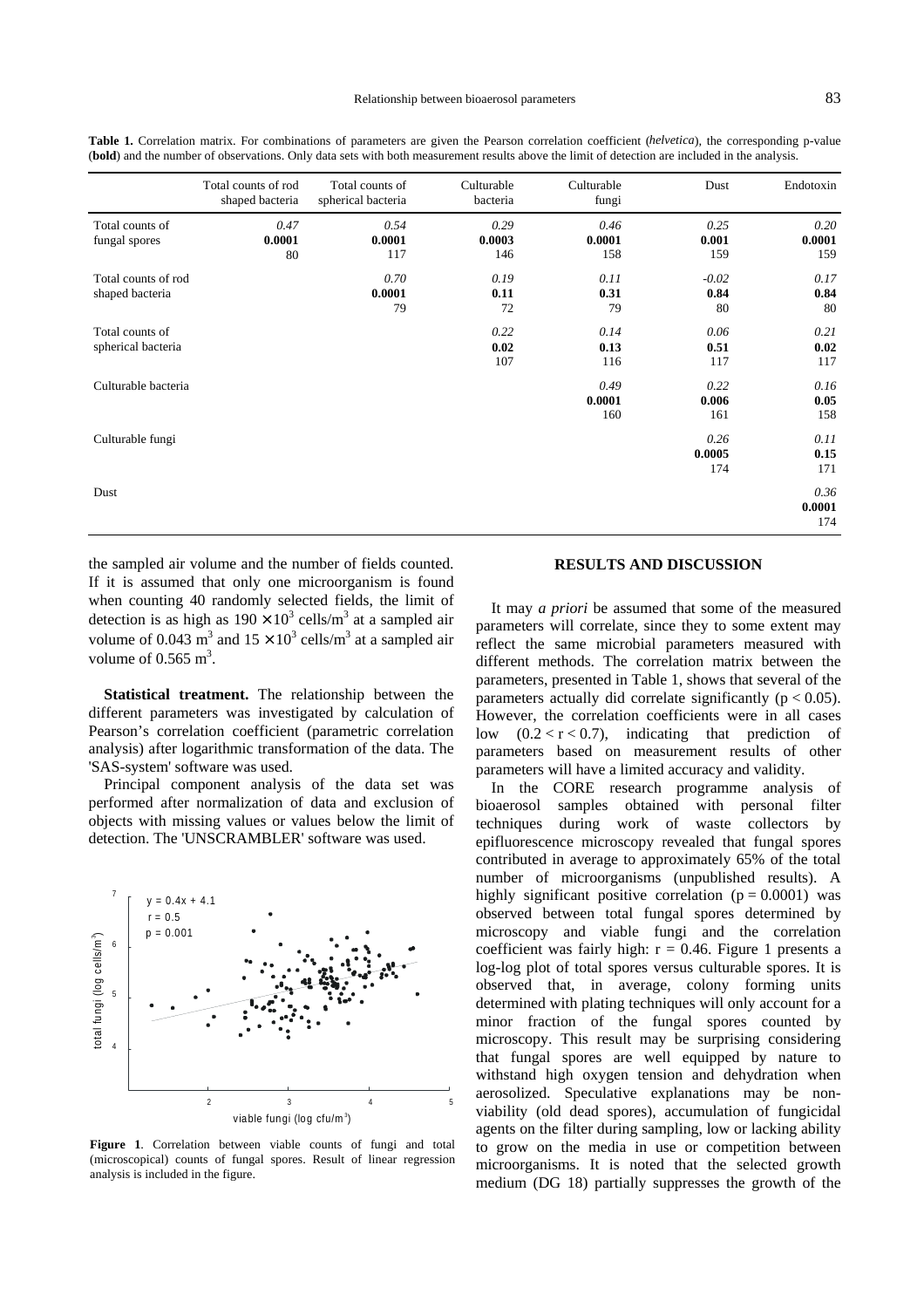|                                        | Total counts of rod<br>shaped bacteria | Total counts of<br>spherical bacteria | Culturable<br>bacteria | Culturable<br>fungi   | Dust                  | Endotoxin             |
|----------------------------------------|----------------------------------------|---------------------------------------|------------------------|-----------------------|-----------------------|-----------------------|
| Total counts of<br>fungal spores       | 0.47<br>0.0001<br>80                   | 0.54<br>0.0001<br>117                 | 0.29<br>0.0003<br>146  | 0.46<br>0.0001<br>158 | 0.25<br>0.001<br>159  | 0.20<br>0.0001<br>159 |
| Total counts of rod<br>shaped bacteria |                                        | 0.70<br>0.0001<br>79                  | 0.19<br>0.11<br>72     | 0.11<br>0.31<br>79    | $-0.02$<br>0.84<br>80 | 0.17<br>0.84<br>80    |
| Total counts of<br>spherical bacteria  |                                        |                                       | 0.22<br>0.02<br>107    | 0.14<br>0.13<br>116   | 0.06<br>0.51<br>117   | 0.21<br>0.02<br>117   |
| Culturable bacteria                    |                                        |                                       |                        | 0.49<br>0.0001<br>160 | 0.22<br>0.006<br>161  | 0.16<br>0.05<br>158   |
| Culturable fungi                       |                                        |                                       |                        |                       | 0.26<br>0.0005<br>174 | 0.11<br>0.15<br>171   |
| Dust                                   |                                        |                                       |                        |                       |                       | 0.36<br>0.0001<br>174 |

<span id="page-2-0"></span>**Table 1.** Correlation matrix. For combinations of parameters are given the Pearson correlation coefficient (*helvetica*), the corresponding p-value (**bold**) and the number of observations. Only data sets with both measurement results above the limit of detection are included in the analysis.

the sampled air volume and the number of fields counted. If it is assumed that only one microorganism is found when counting 40 randomly selected fields, the limit of detection is as high as  $190 \times 10^3$  cells/m<sup>3</sup> at a sampled air volume of 0.043 m<sup>3</sup> and  $15 \times 10^3$  cells/m<sup>3</sup> at a sampled air volume of  $0.565 \text{ m}^3$ .

**Statistical treatment.** The relationship between the different parameters was investigated by calculation of Pearson's correlation coefficient (parametric correlation analysis) after logarithmic transformation of the data. The 'SAS-system' software was used.

Principal component analysis of the data set was performed after normalization of data and exclusion of objects with missing values or values below the limit of detection. The 'UNSCRAMBLER' software was used.



**Figure 1**. Correlation between viable counts of fungi and total (microscopical) counts of fungal spores. Result of linear regression analysis is included in the figure.

### **RESULTS AND DISCUSSION**

It may *a priori* be assumed that some of the measured parameters will correlate, since they to some extent may reflect the same microbial parameters measured with different methods. The correlation matrix between the parameters, presented in Table 1, shows that several of the parameters actually did correlate significantly ( $p < 0.05$ ). However, the correlation coefficients were in all cases low  $(0.2 < r < 0.7)$ , indicating that prediction of parameters based on measurement results of other parameters will have a limited accuracy and validity.

In the CORE research programme analysis of bioaerosol samples obtained with personal filter techniques during work of waste collectors by epifluorescence microscopy revealed that fungal spores contributed in average to approximately 65% of the total number of microorganisms (unpublished results). A highly significant positive correlation  $(p = 0.0001)$  was observed between total fungal spores determined by microscopy and viable fungi and the correlation coefficient was fairly high:  $r = 0.46$ . Figure 1 presents a log-log plot of total spores versus culturable spores. It is observed that, in average, colony forming units determined with plating techniques will only account for a minor fraction of the fungal spores counted by microscopy. This result may be surprising considering that fungal spores are well equipped by nature to withstand high oxygen tension and dehydration when aerosolized. Speculative explanations may be nonviability (old dead spores), accumulation of fungicidal agents on the filter during sampling, low or lacking ability to grow on the media in use or competition between microorganisms. It is noted that the selected growth medium (DG 18) partially suppresses the growth of the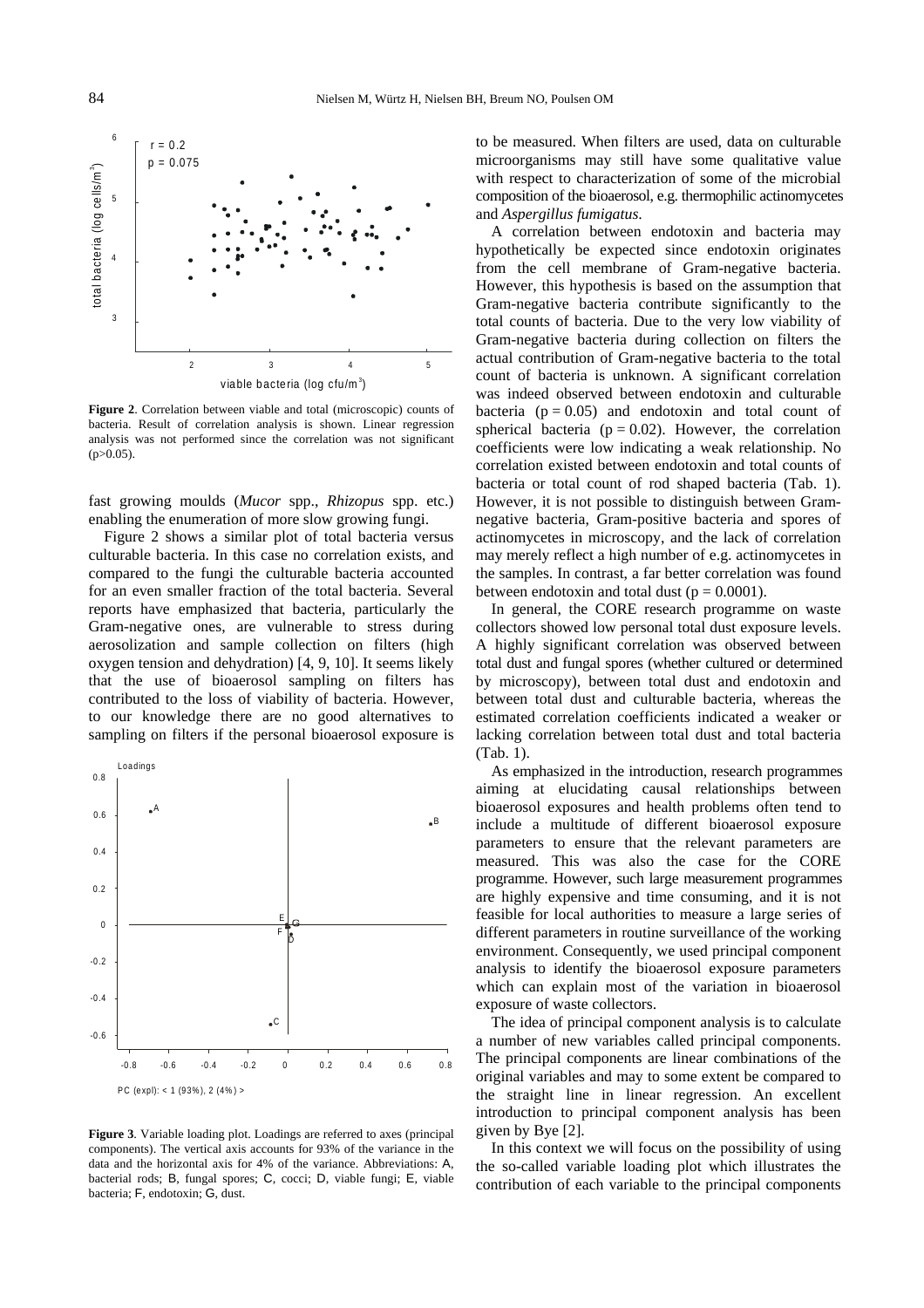<span id="page-3-0"></span>

**Figure 2**. Correlation between viable and total (microscopic) counts of bacteria. Result of correlation analysis is shown. Linear regression analysis was not performed since the correlation was not significant  $(p>0.05)$ .

fast growing moulds (*Mucor* spp., *Rhizopus* spp. etc.) enabling the enumeration of more slow growing fungi.

Figure 2 shows a similar plot of total bacteria versus culturable bacteria. In this case no correlation exists, and compared to the fungi the culturable bacteria accounted for an even smaller fraction of the total bacteria. Several reports have emphasized that bacteria, particularly the Gram-negative ones, are vulnerable to stress during aerosolization and sample collection on filters (high oxygen tension and dehydration) [4, 9, 10]. It seems likely that the use of bioaerosol sampling on filters has contributed to the loss of viability of bacteria. However, to our knowledge there are no good alternatives to sampling on filters if the personal bioaerosol exposure is



**Figure 3**. Variable loading plot. Loadings are referred to axes (principal components). The vertical axis accounts for 93% of the variance in the data and the horizontal axis for 4% of the variance. Abbreviations: A, bacterial rods; B, fungal spores; C, cocci; D, viable fungi; E, viable bacteria; F, endotoxin; G, dust.

to be measured. When filters are used, data on culturable microorganisms may still have some qualitative value with respect to characterization of some of the microbial composition of the bioaerosol, e.g. thermophilic actinomycetes and *Aspergillus fumigatus*.

A correlation between endotoxin and bacteria may hypothetically be expected since endotoxin originates from the cell membrane of Gram-negative bacteria. However, this hypothesis is based on the assumption that Gram-negative bacteria contribute significantly to the total counts of bacteria. Due to the very low viability of Gram-negative bacteria during collection on filters the actual contribution of Gram-negative bacteria to the total count of bacteria is unknown. A significant correlation was indeed observed between endotoxin and culturable bacteria ( $p = 0.05$ ) and endotoxin and total count of spherical bacteria ( $p = 0.02$ ). However, the correlation coefficients were low indicating a weak relationship. No correlation existed between endotoxin and total counts of bacteria or total count of rod shaped bacteria [\(Tab. 1\).](#page-2-0)  However, it is not possible to distinguish between Gramnegative bacteria, Gram-positive bacteria and spores of actinomycetes in microscopy, and the lack of correlation may merely reflect a high number of e.g. actinomycetes in the samples. In contrast, a far better correlation was found between endotoxin and total dust ( $p = 0.0001$ ).

In general, the CORE research programme on waste collectors showed low personal total dust exposure levels. A highly significant correlation was observed between total dust and fungal spores (whether cultured or determined by microscopy), between total dust and endotoxin and between total dust and culturable bacteria, whereas the estimated correlation coefficients indicated a weaker or lacking correlation between total dust and total bacteria [\(Tab. 1\).](#page-2-0) 

As emphasized in the introduction, research programmes aiming at elucidating causal relationships between bioaerosol exposures and health problems often tend to include a multitude of different bioaerosol exposure parameters to ensure that the relevant parameters are measured. This was also the case for the CORE programme. However, such large measurement programmes are highly expensive and time consuming, and it is not feasible for local authorities to measure a large series of different parameters in routine surveillance of the working environment. Consequently, we used principal component analysis to identify the bioaerosol exposure parameters which can explain most of the variation in bioaerosol exposure of waste collectors.

The idea of principal component analysis is to calculate a number of new variables called principal components. The principal components are linear combinations of the original variables and may to some extent be compared to the straight line in linear regression. An excellent introduction to principal component analysis has been given by Bye [2].

In this context we will focus on the possibility of using the so-called variable loading plot which illustrates the contribution of each variable to the principal components